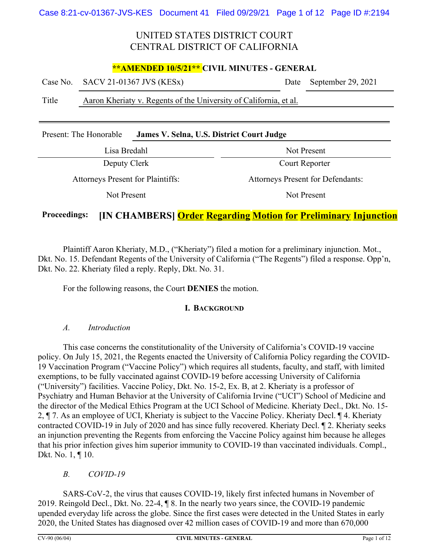### **\*\*AMENDED 10/5/21\*\* CIVIL MINUTES - GENERAL**

|       | Case No. SACV 21-01367 JVS (KESx)                                 | Date September 29, 2021 |
|-------|-------------------------------------------------------------------|-------------------------|
| Title | Aaron Kheriaty v. Regents of the University of California, et al. |                         |

| Present: The Honorable | James V. Selna, U.S. District Court Judge |
|------------------------|-------------------------------------------|
|------------------------|-------------------------------------------|

| Lisa Bredahl                             | Not Present                              |
|------------------------------------------|------------------------------------------|
| Deputy Clerk                             | Court Reporter                           |
| <b>Attorneys Present for Plaintiffs:</b> | <b>Attorneys Present for Defendants:</b> |
| Not Present                              | Not Present                              |

### **Proceedings: [IN CHAMBERS] Order Regarding Motion for Preliminary Injunction**

Plaintiff Aaron Kheriaty, M.D., ("Kheriaty") filed a motion for a preliminary injunction. Mot., Dkt. No. 15. Defendant Regents of the University of California ("The Regents") filed a response. Opp'n, Dkt. No. 22. Kheriaty filed a reply. Reply, Dkt. No. 31.

For the following reasons, the Court **DENIES** the motion.

#### **I. BACKGROUND**

#### *A. Introduction*

This case concerns the constitutionality of the University of California's COVID-19 vaccine policy. On July 15, 2021, the Regents enacted the University of California Policy regarding the COVID-19 Vaccination Program ("Vaccine Policy") which requires all students, faculty, and staff, with limited exemptions, to be fully vaccinated against COVID-19 before accessing University of California ("University") facilities. Vaccine Policy, Dkt. No. 15-2, Ex. B, at 2. Kheriaty is a professor of Psychiatry and Human Behavior at the University of California Irvine ("UCI") School of Medicine and the director of the Medical Ethics Program at the UCI School of Medicine. Kheriaty Decl., Dkt. No. 15- 2, ¶ 7. As an employee of UCI, Kheriaty is subject to the Vaccine Policy. Kheriaty Decl. ¶ 4. Kheriaty contracted COVID-19 in July of 2020 and has since fully recovered. Kheriaty Decl. ¶ 2. Kheriaty seeks an injunction preventing the Regents from enforcing the Vaccine Policy against him because he alleges that his prior infection gives him superior immunity to COVID-19 than vaccinated individuals. Compl., Dkt. No. 1, ¶ 10.

### *B. COVID-19*

SARS-CoV-2, the virus that causes COVID-19, likely first infected humans in November of 2019. Reingold Decl., Dkt. No. 22-4, ¶ 8. In the nearly two years since, the COVID-19 pandemic upended everyday life across the globe. Since the first cases were detected in the United States in early 2020, the United States has diagnosed over 42 million cases of COVID-19 and more than 670,000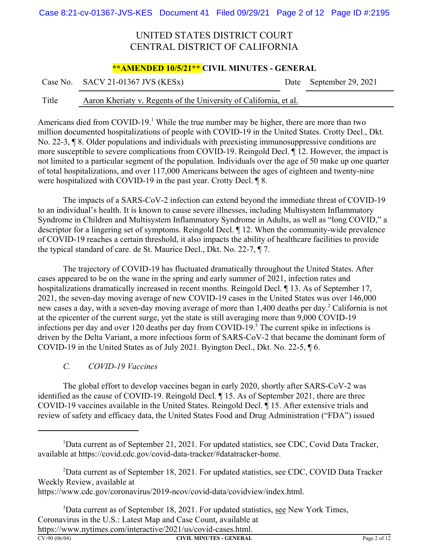### **\*\*AMENDED 10/5/21\*\* CIVIL MINUTES - GENERAL**

Case No. SACV 21-01367 JVS (KESx) Date September 29, 2021

#### Title Aaron Kheriaty v. Regents of the University of California, et al.

Americans died from COVID-19.<sup>1</sup> While the true number may be higher, there are more than two million documented hospitalizations of people with COVID-19 in the United States. Crotty Decl., Dkt. No. 22-3, ¶ 8. Older populations and individuals with preexisting immunosuppressive conditions are more susceptible to severe complications from COVID-19. Reingold Decl. ¶ 12. However, the impact is not limited to a particular segment of the population. Individuals over the age of 50 make up one quarter of total hospitalizations, and over 117,000 Americans between the ages of eighteen and twenty-nine were hospitalized with COVID-19 in the past year. Crotty Decl. ¶ 8.

The impacts of a SARS-CoV-2 infection can extend beyond the immediate threat of COVID-19 to an individual's health. It is known to cause severe illnesses, including Multisystem Inflammatory Syndrome in Children and Multisystem Inflammatory Syndrome in Adults, as well as "long COVID," a descriptor for a lingering set of symptoms. Reingold Decl. ¶ 12. When the community-wide prevalence of COVID-19 reaches a certain threshold, it also impacts the ability of healthcare facilities to provide the typical standard of care. de St. Maurice Decl., Dkt. No. 22-7, ¶ 7.

The trajectory of COVID-19 has fluctuated dramatically throughout the United States. After cases appeared to be on the wane in the spring and early summer of 2021, infection rates and hospitalizations dramatically increased in recent months. Reingold Decl. ¶ 13. As of September 17, 2021, the seven-day moving average of new COVID-19 cases in the United States was over 146,000 new cases a day, with a seven-day moving average of more than 1,400 deaths per day.<sup>2</sup> California is not at the epicenter of the current surge, yet the state is still averaging more than 9,000 COVID-19 infections per day and over 120 deaths per day from COVID-19.<sup>3</sup> The current spike in infections is driven by the Delta Variant, a more infectious form of SARS-CoV-2 that became the dominant form of COVID-19 in the United States as of July 2021. Byington Decl., Dkt. No. 22-5, ¶ 6.

### *C. COVID-19 Vaccines*

The global effort to develop vaccines began in early 2020, shortly after SARS-CoV-2 was identified as the cause of COVID-19. Reingold Decl. ¶ 15. As of September 2021, there are three COVID-19 vaccines available in the United States. Reingold Decl. ¶ 15. After extensive trials and review of safety and efficacy data, the United States Food and Drug Administration ("FDA") issued

<sup>3</sup>Data current as of September 18, 2021. For updated statistics, see New York Times, Coronavirus in the U.S.: Latest Map and Case Count, available at https://www.nytimes.com/interactive/2021/us/covid-cases.html.

<sup>&</sup>lt;sup>1</sup>Data current as of September 21, 2021. For updated statistics, see CDC, Covid Data Tracker, available at https://covid.cdc.gov/covid-data-tracker/#datatracker-home.

<sup>&</sup>lt;sup>2</sup>Data current as of September 18, 2021. For updated statistics, see CDC, COVID Data Tracker Weekly Review, available at

https://www.cdc.gov/coronavirus/2019-ncov/covid-data/covidview/index.html.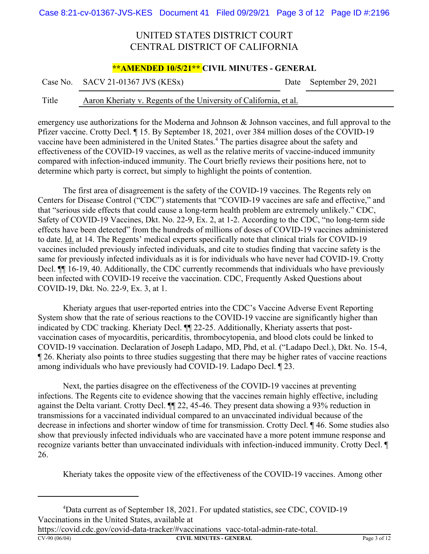#### **\*\*AMENDED 10/5/21\*\* CIVIL MINUTES - GENERAL**

Case No. SACV 21-01367 JVS (KESx) Date September 29, 2021

#### Title Aaron Kheriaty v. Regents of the University of California, et al.

emergency use authorizations for the Moderna and Johnson & Johnson vaccines, and full approval to the Pfizer vaccine. Crotty Decl. ¶ 15. By September 18, 2021, over 384 million doses of the COVID-19 vaccine have been administered in the United States.<sup>4</sup> The parties disagree about the safety and effectiveness of the COVID-19 vaccines, as well as the relative merits of vaccine-induced immunity compared with infection-induced immunity. The Court briefly reviews their positions here, not to determine which party is correct, but simply to highlight the points of contention.

The first area of disagreement is the safety of the COVID-19 vaccines. The Regents rely on Centers for Disease Control ("CDC") statements that "COVID-19 vaccines are safe and effective," and that "serious side effects that could cause a long-term health problem are extremely unlikely." CDC, Safety of COVID-19 Vaccines, Dkt. No. 22-9, Ex. 2, at 1-2. According to the CDC, "no long-term side effects have been detected" from the hundreds of millions of doses of COVID-19 vaccines administered to date. Id. at 14. The Regents' medical experts specifically note that clinical trials for COVID-19 vaccines included previously infected individuals, and cite to studies finding that vaccine safety is the same for previously infected individuals as it is for individuals who have never had COVID-19. Crotty Decl. ¶¶ 16-19, 40. Additionally, the CDC currently recommends that individuals who have previously been infected with COVID-19 receive the vaccination. CDC, Frequently Asked Questions about COVID-19, Dkt. No. 22-9, Ex. 3, at 1.

Kheriaty argues that user-reported entries into the CDC's Vaccine Adverse Event Reporting System show that the rate of serious reactions to the COVID-19 vaccine are significantly higher than indicated by CDC tracking. Kheriaty Decl. ¶¶ 22-25. Additionally, Kheriaty asserts that postvaccination cases of myocarditis, pericarditis, thrombocytopenia, and blood clots could be linked to COVID-19 vaccination. Declaration of Joseph Ladapo, MD, Phd, et al. ("Ladapo Decl.), Dkt. No. 15-4, ¶ 26. Kheriaty also points to three studies suggesting that there may be higher rates of vaccine reactions among individuals who have previously had COVID-19. Ladapo Decl. ¶ 23.

Next, the parties disagree on the effectiveness of the COVID-19 vaccines at preventing infections. The Regents cite to evidence showing that the vaccines remain highly effective, including against the Delta variant. Crotty Decl. ¶¶ 22, 45-46. They present data showing a 93% reduction in transmissions for a vaccinated individual compared to an unvaccinated individual because of the decrease in infections and shorter window of time for transmission. Crotty Decl. ¶ 46. Some studies also show that previously infected individuals who are vaccinated have a more potent immune response and recognize variants better than unvaccinated individuals with infection-induced immunity. Crotty Decl. ¶ 26.

Kheriaty takes the opposite view of the effectiveness of the COVID-19 vaccines. Among other

https://covid.cdc.gov/covid-data-tracker/#vaccinations vacc-total-admin-rate-total.

**CV-90 (06/04) CIVIL MINUTES - GENERAL** Page 3 of 12

<sup>&</sup>lt;sup>4</sup>Data current as of September 18, 2021. For updated statistics, see CDC, COVID-19 Vaccinations in the United States, available at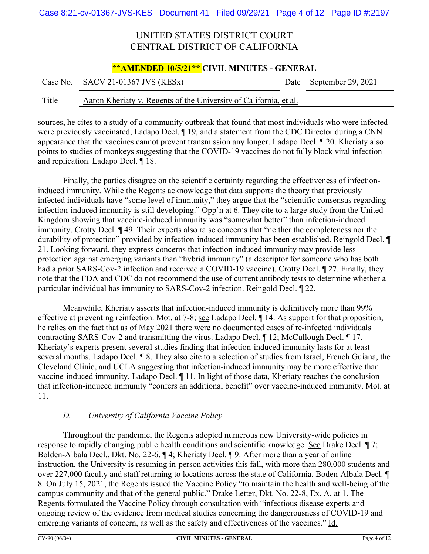#### **\*\*AMENDED 10/5/21\*\* CIVIL MINUTES - GENERAL**

Case No. SACV 21-01367 JVS (KESx) Date September 29, 2021

#### Title Aaron Kheriaty v. Regents of the University of California, et al.

sources, he cites to a study of a community outbreak that found that most individuals who were infected were previously vaccinated, Ladapo Decl. ¶ 19, and a statement from the CDC Director during a CNN appearance that the vaccines cannot prevent transmission any longer. Ladapo Decl. ¶ 20. Kheriaty also points to studies of monkeys suggesting that the COVID-19 vaccines do not fully block viral infection and replication. Ladapo Decl. ¶ 18.

Finally, the parties disagree on the scientific certainty regarding the effectiveness of infectioninduced immunity. While the Regents acknowledge that data supports the theory that previously infected individuals have "some level of immunity," they argue that the "scientific consensus regarding infection-induced immunity is still developing." Opp'n at 6. They cite to a large study from the United Kingdom showing that vaccine-induced immunity was "somewhat better" than infection-induced immunity. Crotty Decl. ¶ 49. Their experts also raise concerns that "neither the completeness nor the durability of protection" provided by infection-induced immunity has been established. Reingold Decl. ¶ 21. Looking forward, they express concerns that infection-induced immunity may provide less protection against emerging variants than "hybrid immunity" (a descriptor for someone who has both had a prior SARS-Cov-2 infection and received a COVID-19 vaccine). Crotty Decl. 1 27. Finally, they note that the FDA and CDC do not recommend the use of current antibody tests to determine whether a particular individual has immunity to SARS-Cov-2 infection. Reingold Decl. ¶ 22.

Meanwhile, Kheriaty asserts that infection-induced immunity is definitively more than 99% effective at preventing reinfection. Mot. at 7-8; see Ladapo Decl. ¶ 14. As support for that proposition, he relies on the fact that as of May 2021 there were no documented cases of re-infected individuals contracting SARS-Cov-2 and transmitting the virus. Ladapo Decl.  $\P$  12; McCullough Decl.  $\P$  17. Kheriaty's experts present several studies finding that infection-induced immunity lasts for at least several months. Ladapo Decl. ¶ 8. They also cite to a selection of studies from Israel, French Guiana, the Cleveland Clinic, and UCLA suggesting that infection-induced immunity may be more effective than vaccine-induced immunity. Ladapo Decl. ¶ 11. In light of those data, Kheriaty reaches the conclusion that infection-induced immunity "confers an additional benefit" over vaccine-induced immunity. Mot. at 11.

### *D. University of California Vaccine Policy*

Throughout the pandemic, the Regents adopted numerous new University-wide policies in response to rapidly changing public health conditions and scientific knowledge. See Drake Decl. ¶ 7; Bolden-Albala Decl., Dkt. No. 22-6, ¶ 4; Kheriaty Decl. ¶ 9. After more than a year of online instruction, the University is resuming in-person activities this fall, with more than 280,000 students and over 227,000 faculty and staff returning to locations across the state of California. Boden-Albala Decl. ¶ 8. On July 15, 2021, the Regents issued the Vaccine Policy "to maintain the health and well-being of the campus community and that of the general public." Drake Letter, Dkt. No. 22-8, Ex. A, at 1. The Regents formulated the Vaccine Policy through consultation with "infectious disease experts and ongoing review of the evidence from medical studies concerning the dangerousness of COVID-19 and emerging variants of concern, as well as the safety and effectiveness of the vaccines." Id.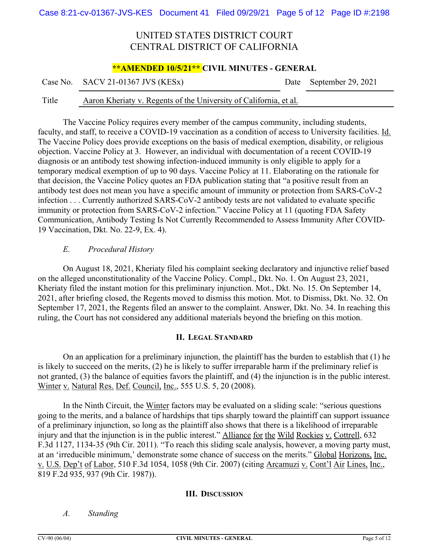#### **\*\*AMENDED 10/5/21\*\* CIVIL MINUTES - GENERAL**

#### Title Aaron Kheriaty v. Regents of the University of California, et al.

The Vaccine Policy requires every member of the campus community, including students, faculty, and staff, to receive a COVID-19 vaccination as a condition of access to University facilities. Id. The Vaccine Policy does provide exceptions on the basis of medical exemption, disability, or religious objection. Vaccine Policy at 3. However, an individual with documentation of a recent COVID-19 diagnosis or an antibody test showing infection-induced immunity is only eligible to apply for a temporary medical exemption of up to 90 days. Vaccine Policy at 11. Elaborating on the rationale for that decision, the Vaccine Policy quotes an FDA publication stating that "a positive result from an antibody test does not mean you have a specific amount of immunity or protection from SARS-CoV-2 infection . . . Currently authorized SARS-CoV-2 antibody tests are not validated to evaluate specific immunity or protection from SARS-CoV-2 infection." Vaccine Policy at 11 (quoting FDA Safety Communication, Antibody Testing Is Not Currently Recommended to Assess Immunity After COVID-19 Vaccination, Dkt. No. 22-9, Ex. 4).

#### *E. Procedural History*

On August 18, 2021, Kheriaty filed his complaint seeking declaratory and injunctive relief based on the alleged unconstitutionality of the Vaccine Policy. Compl., Dkt. No. 1. On August 23, 2021, Kheriaty filed the instant motion for this preliminary injunction. Mot., Dkt. No. 15. On September 14, 2021, after briefing closed, the Regents moved to dismiss this motion. Mot. to Dismiss, Dkt. No. 32. On September 17, 2021, the Regents filed an answer to the complaint. Answer, Dkt. No. 34. In reaching this ruling, the Court has not considered any additional materials beyond the briefing on this motion.

#### **II. LEGAL STANDARD**

On an application for a preliminary injunction, the plaintiff has the burden to establish that (1) he is likely to succeed on the merits, (2) he is likely to suffer irreparable harm if the preliminary relief is not granted, (3) the balance of equities favors the plaintiff, and (4) the injunction is in the public interest. Winter v. Natural Res. Def. Council, Inc., 555 U.S. 5, 20 (2008).

In the Ninth Circuit, the Winter factors may be evaluated on a sliding scale: "serious questions going to the merits, and a balance of hardships that tips sharply toward the plaintiff can support issuance of a preliminary injunction, so long as the plaintiff also shows that there is a likelihood of irreparable injury and that the injunction is in the public interest." Alliance for the Wild Rockies v. Cottrell, 632 F.3d 1127, 1134-35 (9th Cir. 2011). "To reach this sliding scale analysis, however, a moving party must, at an 'irreducible minimum,' demonstrate some chance of success on the merits." Global Horizons, Inc. v. U.S. Dep't of Labor, 510 F.3d 1054, 1058 (9th Cir. 2007) (citing Arcamuzi v. Cont'l Air Lines, Inc., 819 F.2d 935, 937 (9th Cir. 1987)).

#### **III. DISCUSSION**

*A. Standing*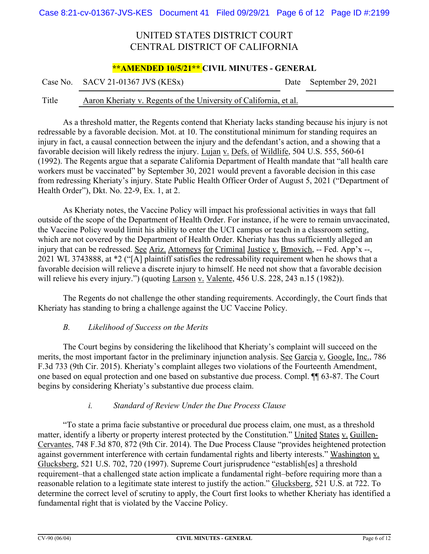#### **\*\*AMENDED 10/5/21\*\* CIVIL MINUTES - GENERAL**

Case No. SACV 21-01367 JVS (KESx) Date September 29, 2021

#### Title Aaron Kheriaty v. Regents of the University of California, et al.

As a threshold matter, the Regents contend that Kheriaty lacks standing because his injury is not redressable by a favorable decision. Mot. at 10. The constitutional minimum for standing requires an injury in fact, a causal connection between the injury and the defendant's action, and a showing that a favorable decision will likely redress the injury. Lujan v. Defs. of Wildlife, 504 U.S. 555, 560-61 (1992). The Regents argue that a separate California Department of Health mandate that "all health care workers must be vaccinated" by September 30, 2021 would prevent a favorable decision in this case from redressing Kheriaty's injury. State Public Health Officer Order of August 5, 2021 ("Department of Health Order"), Dkt. No. 22-9, Ex. 1, at 2.

As Kheriaty notes, the Vaccine Policy will impact his professional activities in ways that fall outside of the scope of the Department of Health Order. For instance, if he were to remain unvaccinated, the Vaccine Policy would limit his ability to enter the UCI campus or teach in a classroom setting, which are not covered by the Department of Health Order. Kheriaty has thus sufficiently alleged an injury that can be redressed. See Ariz. Attorneys for Criminal Justice v. Brnovich, -- Fed. App'x --, 2021 WL 3743888, at \*2 ("[A] plaintiff satisfies the redressability requirement when he shows that a favorable decision will relieve a discrete injury to himself. He need not show that a favorable decision will relieve his every injury.") (quoting Larson v. Valente, 456 U.S. 228, 243 n.15 (1982)).

The Regents do not challenge the other standing requirements. Accordingly, the Court finds that Kheriaty has standing to bring a challenge against the UC Vaccine Policy.

#### *B. Likelihood of Success on the Merits*

The Court begins by considering the likelihood that Kheriaty's complaint will succeed on the merits, the most important factor in the preliminary injunction analysis. See Garcia v. Google, Inc., 786 F.3d 733 (9th Cir. 2015). Kheriaty's complaint alleges two violations of the Fourteenth Amendment, one based on equal protection and one based on substantive due process. Compl. ¶¶ 63-87. The Court begins by considering Kheriaty's substantive due process claim.

#### *i. Standard of Review Under the Due Process Clause*

"To state a prima facie substantive or procedural due process claim, one must, as a threshold matter, identify a liberty or property interest protected by the Constitution." United States v. Guillen-Cervantes, 748 F.3d 870, 872 (9th Cir. 2014). The Due Process Clause "provides heightened protection against government interference with certain fundamental rights and liberty interests." Washington v. Glucksberg, 521 U.S. 702, 720 (1997). Supreme Court jurisprudence "establish[es] a threshold requirement–that a challenged state action implicate a fundamental right–before requiring more than a reasonable relation to a legitimate state interest to justify the action." Glucksberg, 521 U.S. at 722. To determine the correct level of scrutiny to apply, the Court first looks to whether Kheriaty has identified a fundamental right that is violated by the Vaccine Policy.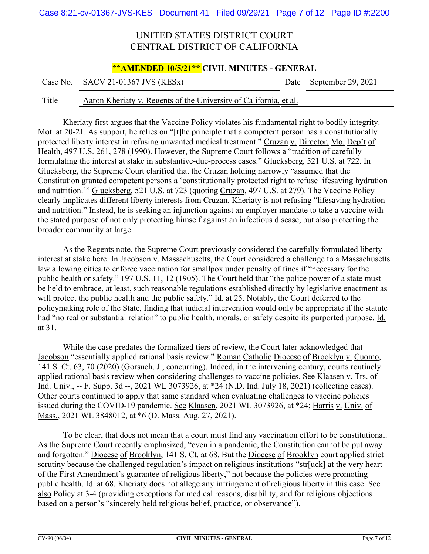#### **\*\*AMENDED 10/5/21\*\* CIVIL MINUTES - GENERAL**

Case No. SACV 21-01367 JVS (KESx) Date September 29, 2021

#### Title Aaron Kheriaty v. Regents of the University of California, et al.

Kheriaty first argues that the Vaccine Policy violates his fundamental right to bodily integrity. Mot. at 20-21. As support, he relies on "[t]he principle that a competent person has a constitutionally protected liberty interest in refusing unwanted medical treatment." Cruzan v. Director, Mo. Dep't of Health, 497 U.S. 261, 278 (1990). However, the Supreme Court follows a "tradition of carefully formulating the interest at stake in substantive-due-process cases." Glucksberg, 521 U.S. at 722. In Glucksberg, the Supreme Court clarified that the Cruzan holding narrowly "assumed that the Constitution granted competent persons a 'constitutionally protected right to refuse lifesaving hydration and nutrition.'" Glucksberg, 521 U.S. at 723 (quoting Cruzan, 497 U.S. at 279). The Vaccine Policy clearly implicates different liberty interests from Cruzan. Kheriaty is not refusing "lifesaving hydration and nutrition." Instead, he is seeking an injunction against an employer mandate to take a vaccine with the stated purpose of not only protecting himself against an infectious disease, but also protecting the broader community at large.

As the Regents note, the Supreme Court previously considered the carefully formulated liberty interest at stake here. In Jacobson v. Massachusetts, the Court considered a challenge to a Massachusetts law allowing cities to enforce vaccination for smallpox under penalty of fines if "necessary for the public health or safety." 197 U.S. 11, 12 (1905). The Court held that "the police power of a state must be held to embrace, at least, such reasonable regulations established directly by legislative enactment as will protect the public health and the public safety." Id. at 25. Notably, the Court deferred to the policymaking role of the State, finding that judicial intervention would only be appropriate if the statute had "no real or substantial relation" to public health, morals, or safety despite its purported purpose. Id. at 31.

While the case predates the formalized tiers of review, the Court later acknowledged that Jacobson "essentially applied rational basis review." Roman Catholic Diocese of Brooklyn v. Cuomo, 141 S. Ct. 63, 70 (2020) (Gorsuch, J., concurring). Indeed, in the intervening century, courts routinely applied rational basis review when considering challenges to vaccine policies. See Klaasen v. Trs. of Ind. Univ., -- F. Supp. 3d --, 2021 WL 3073926, at \*24 (N.D. Ind. July 18, 2021) (collecting cases). Other courts continued to apply that same standard when evaluating challenges to vaccine policies issued during the COVID-19 pandemic. See Klaasen, 2021 WL 3073926, at \*24; Harris v. Univ. of Mass., 2021 WL 3848012, at \*6 (D. Mass. Aug. 27, 2021).

To be clear, that does not mean that a court must find any vaccination effort to be constitutional. As the Supreme Court recently emphasized, "even in a pandemic, the Constitution cannot be put away and forgotten." Diocese of Brooklyn, 141 S. Ct. at 68. But the Diocese of Brooklyn court applied strict scrutiny because the challenged regulation's impact on religious institutions "str[uck] at the very heart of the First Amendment's guarantee of religious liberty," not because the policies were promoting public health. Id. at 68. Kheriaty does not allege any infringement of religious liberty in this case. See also Policy at 3-4 (providing exceptions for medical reasons, disability, and for religious objections based on a person's "sincerely held religious belief, practice, or observance").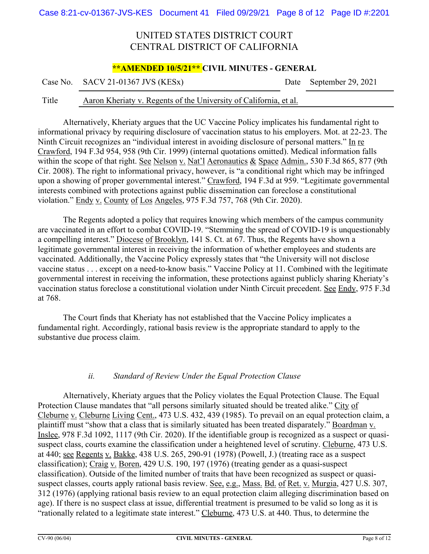#### **\*\*AMENDED 10/5/21\*\* CIVIL MINUTES - GENERAL**

Case No. SACV 21-01367 JVS (KESx) Date September 29, 2021

#### Title Aaron Kheriaty v. Regents of the University of California, et al.

Alternatively, Kheriaty argues that the UC Vaccine Policy implicates his fundamental right to informational privacy by requiring disclosure of vaccination status to his employers. Mot. at 22-23. The Ninth Circuit recognizes an "individual interest in avoiding disclosure of personal matters." In re Crawford, 194 F.3d 954, 958 (9th Cir. 1999) (internal quotations omitted). Medical information falls within the scope of that right. See Nelson v. Nat'l Aeronautics & Space Admin., 530 F.3d 865, 877 (9th Cir. 2008). The right to informational privacy, however, is "a conditional right which may be infringed upon a showing of proper governmental interest." Crawford, 194 F.3d at 959. "Legitimate governmental interests combined with protections against public dissemination can foreclose a constitutional violation." Endy v. County of Los Angeles, 975 F.3d 757, 768 (9th Cir. 2020).

The Regents adopted a policy that requires knowing which members of the campus community are vaccinated in an effort to combat COVID-19. "Stemming the spread of COVID-19 is unquestionably a compelling interest." Diocese of Brooklyn, 141 S. Ct. at 67. Thus, the Regents have shown a legitimate governmental interest in receiving the information of whether employees and students are vaccinated. Additionally, the Vaccine Policy expressly states that "the University will not disclose vaccine status . . . except on a need-to-know basis." Vaccine Policy at 11. Combined with the legitimate governmental interest in receiving the information, these protections against publicly sharing Kheriaty's vaccination status foreclose a constitutional violation under Ninth Circuit precedent. See Endy, 975 F.3d at 768.

The Court finds that Kheriaty has not established that the Vaccine Policy implicates a fundamental right. Accordingly, rational basis review is the appropriate standard to apply to the substantive due process claim.

#### *ii. Standard of Review Under the Equal Protection Clause*

Alternatively, Kheriaty argues that the Policy violates the Equal Protection Clause. The Equal Protection Clause mandates that "all persons similarly situated should be treated alike." City of Cleburne v. Cleburne Living Cent., 473 U.S. 432, 439 (1985). To prevail on an equal protection claim, a plaintiff must "show that a class that is similarly situated has been treated disparately." Boardman v. Inslee, 978 F.3d 1092, 1117 (9th Cir. 2020). If the identifiable group is recognized as a suspect or quasisuspect class, courts examine the classification under a heightened level of scrutiny. Cleburne, 473 U.S. at 440; see Regents v. Bakke, 438 U.S. 265, 290-91 (1978) (Powell, J.) (treating race as a suspect classification); Craig v. Boren, 429 U.S. 190, 197 (1976) (treating gender as a quasi-suspect classification). Outside of the limited number of traits that have been recognized as suspect or quasisuspect classes, courts apply rational basis review. See, e.g., Mass. Bd. of Ret. v. Murgia, 427 U.S. 307, 312 (1976) (applying rational basis review to an equal protection claim alleging discrimination based on age). If there is no suspect class at issue, differential treatment is presumed to be valid so long as it is "rationally related to a legitimate state interest." Cleburne, 473 U.S. at 440. Thus, to determine the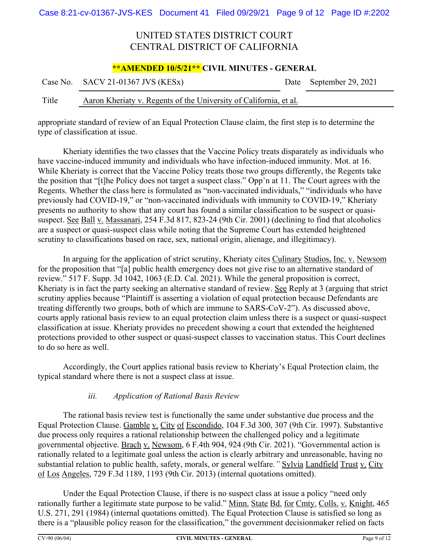#### **\*\*AMENDED 10/5/21\*\* CIVIL MINUTES - GENERAL**

|       | Case No. SACV 21-01367 JVS (KESx)                                 | Date September 29, 2021 |
|-------|-------------------------------------------------------------------|-------------------------|
| Title | Aaron Kheriaty v. Regents of the University of California, et al. |                         |

appropriate standard of review of an Equal Protection Clause claim, the first step is to determine the type of classification at issue.

Kheriaty identifies the two classes that the Vaccine Policy treats disparately as individuals who have vaccine-induced immunity and individuals who have infection-induced immunity. Mot. at 16. While Kheriaty is correct that the Vaccine Policy treats those two groups differently, the Regents take the position that "[t]he Policy does not target a suspect class." Opp'n at 11. The Court agrees with the Regents. Whether the class here is formulated as "non-vaccinated individuals," "individuals who have previously had COVID-19," or "non-vaccinated individuals with immunity to COVID-19," Kheriaty presents no authority to show that any court has found a similar classification to be suspect or quasisuspect. See Ball v. Massanari, 254 F.3d 817, 823-24 (9th Cir. 2001) (declining to find that alcoholics are a suspect or quasi-suspect class while noting that the Supreme Court has extended heightened scrutiny to classifications based on race, sex, national origin, alienage, and illegitimacy).

In arguing for the application of strict scrutiny, Kheriaty cites Culinary Studios, Inc. v. Newsom for the proposition that "[a] public health emergency does not give rise to an alternative standard of review." 517 F. Supp. 3d 1042, 1063 (E.D. Cal. 2021). While the general proposition is correct, Kheriaty is in fact the party seeking an alternative standard of review. See Reply at 3 (arguing that strict scrutiny applies because "Plaintiff is asserting a violation of equal protection because Defendants are treating differently two groups, both of which are immune to SARS-CoV-2"). As discussed above, courts apply rational basis review to an equal protection claim unless there is a suspect or quasi-suspect classification at issue. Kheriaty provides no precedent showing a court that extended the heightened protections provided to other suspect or quasi-suspect classes to vaccination status. This Court declines to do so here as well.

Accordingly, the Court applies rational basis review to Kheriaty's Equal Protection claim, the typical standard where there is not a suspect class at issue.

#### *iii. Application of Rational Basis Review*

The rational basis review test is functionally the same under substantive due process and the Equal Protection Clause. Gamble v. City of Escondido, 104 F.3d 300, 307 (9th Cir. 1997). Substantive due process only requires a rational relationship between the challenged policy and a legitimate governmental objective. Brach v. Newsom, 6 F.4th 904, 924 (9th Cir. 2021). "Governmental action is rationally related to a legitimate goal unless the action is clearly arbitrary and unreasonable, having no substantial relation to public health, safety, morals, or general welfare*."* Sylvia Landfield Trust v. City of Los Angeles, 729 F.3d 1189, 1193 (9th Cir. 2013) (internal quotations omitted).

Under the Equal Protection Clause, if there is no suspect class at issue a policy "need only rationally further a legitimate state purpose to be valid." Minn. State Bd. for Cmty. Colls. v. Knight, 465 U.S. 271, 291 (1984) (internal quotations omitted). The Equal Protection Clause is satisfied so long as there is a "plausible policy reason for the classification," the government decisionmaker relied on facts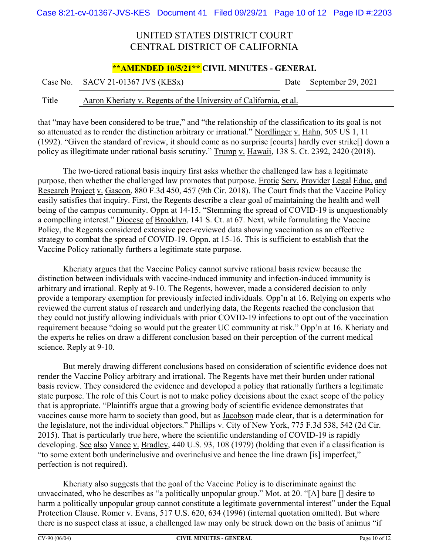#### **\*\*AMENDED 10/5/21\*\* CIVIL MINUTES - GENERAL**

| Case No. SACV 21-01367 JVS (KESx)<br>Date September 29, 2021 |
|--------------------------------------------------------------|
|--------------------------------------------------------------|

#### Title Aaron Kheriaty v. Regents of the University of California, et al.

that "may have been considered to be true," and "the relationship of the classification to its goal is not so attenuated as to render the distinction arbitrary or irrational." Nordlinger v. Hahn, 505 US 1, 11 (1992). "Given the standard of review, it should come as no surprise [courts] hardly ever strike[] down a policy as illegitimate under rational basis scrutiny." Trump v. Hawaii, 138 S. Ct. 2392, 2420 (2018).

The two-tiered rational basis inquiry first asks whether the challenged law has a legitimate purpose, then whether the challenged law promotes that purpose. Erotic Serv. Provider Legal Educ. and Research Project v. Gascon, 880 F.3d 450, 457 (9th Cir. 2018). The Court finds that the Vaccine Policy easily satisfies that inquiry. First, the Regents describe a clear goal of maintaining the health and well being of the campus community. Oppn at 14-15. "Stemming the spread of COVID-19 is unquestionably a compelling interest." Diocese of Brooklyn, 141 S. Ct. at 67. Next, while formulating the Vaccine Policy, the Regents considered extensive peer-reviewed data showing vaccination as an effective strategy to combat the spread of COVID-19. Oppn. at 15-16. This is sufficient to establish that the Vaccine Policy rationally furthers a legitimate state purpose.

Kheriaty argues that the Vaccine Policy cannot survive rational basis review because the distinction between individuals with vaccine-induced immunity and infection-induced immunity is arbitrary and irrational. Reply at 9-10. The Regents, however, made a considered decision to only provide a temporary exemption for previously infected individuals. Opp'n at 16. Relying on experts who reviewed the current status of research and underlying data, the Regents reached the conclusion that they could not justify allowing individuals with prior COVID-19 infections to opt out of the vaccination requirement because "doing so would put the greater UC community at risk." Opp'n at 16. Kheriaty and the experts he relies on draw a different conclusion based on their perception of the current medical science. Reply at 9-10.

But merely drawing different conclusions based on consideration of scientific evidence does not render the Vaccine Policy arbitrary and irrational. The Regents have met their burden under rational basis review. They considered the evidence and developed a policy that rationally furthers a legitimate state purpose. The role of this Court is not to make policy decisions about the exact scope of the policy that is appropriate. "Plaintiffs argue that a growing body of scientific evidence demonstrates that vaccines cause more harm to society than good, but as Jacobson made clear, that is a determination for the legislature, not the individual objectors." Phillips v. City of New York, 775 F.3d 538, 542 (2d Cir. 2015). That is particularly true here, where the scientific understanding of COVID-19 is rapidly developing. See also Vance v. Bradley, 440 U.S. 93, 108 (1979) (holding that even if a classification is "to some extent both underinclusive and overinclusive and hence the line drawn [is] imperfect," perfection is not required).

Kheriaty also suggests that the goal of the Vaccine Policy is to discriminate against the unvaccinated, who he describes as "a politically unpopular group." Mot. at 20. "[A] bare [] desire to harm a politically unpopular group cannot constitute a legitimate governmental interest" under the Equal Protection Clause. Romer v. Evans, 517 U.S. 620, 634 (1996) (internal quotation omitted). But where there is no suspect class at issue, a challenged law may only be struck down on the basis of animus "if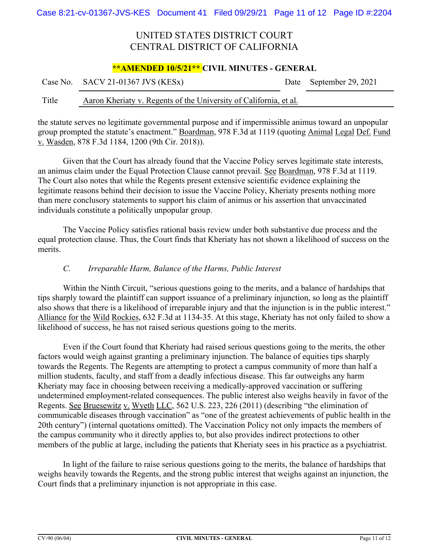#### **\*\*AMENDED 10/5/21\*\* CIVIL MINUTES - GENERAL**

|       | Case No. SACV 21-01367 JVS (KESx)                                 | Date September 29, 2021 |
|-------|-------------------------------------------------------------------|-------------------------|
| Title | Aaron Kheriaty v. Regents of the University of California, et al. |                         |

the statute serves no legitimate governmental purpose and if impermissible animus toward an unpopular group prompted the statute's enactment." Boardman, 978 F.3d at 1119 (quoting Animal Legal Def. Fund v. Wasden, 878 F.3d 1184, 1200 (9th Cir. 2018)).

Given that the Court has already found that the Vaccine Policy serves legitimate state interests, an animus claim under the Equal Protection Clause cannot prevail. See Boardman, 978 F.3d at 1119. The Court also notes that while the Regents present extensive scientific evidence explaining the legitimate reasons behind their decision to issue the Vaccine Policy, Kheriaty presents nothing more than mere conclusory statements to support his claim of animus or his assertion that unvaccinated individuals constitute a politically unpopular group.

The Vaccine Policy satisfies rational basis review under both substantive due process and the equal protection clause. Thus, the Court finds that Kheriaty has not shown a likelihood of success on the merits.

#### *C. Irreparable Harm, Balance of the Harms, Public Interest*

Within the Ninth Circuit, "serious questions going to the merits, and a balance of hardships that tips sharply toward the plaintiff can support issuance of a preliminary injunction, so long as the plaintiff also shows that there is a likelihood of irreparable injury and that the injunction is in the public interest." Alliance for the Wild Rockies, 632 F.3d at 1134-35. At this stage, Kheriaty has not only failed to show a likelihood of success, he has not raised serious questions going to the merits.

Even if the Court found that Kheriaty had raised serious questions going to the merits, the other factors would weigh against granting a preliminary injunction. The balance of equities tips sharply towards the Regents. The Regents are attempting to protect a campus community of more than half a million students, faculty, and staff from a deadly infectious disease. This far outweighs any harm Kheriaty may face in choosing between receiving a medically-approved vaccination or suffering undetermined employment-related consequences. The public interest also weighs heavily in favor of the Regents. See Bruesewitz v. Wyeth LLC, 562 U.S. 223, 226 (2011) (describing "the elimination of communicable diseases through vaccination" as "one of the greatest achievements of public health in the 20th century") (internal quotations omitted). The Vaccination Policy not only impacts the members of the campus community who it directly applies to, but also provides indirect protections to other members of the public at large, including the patients that Kheriaty sees in his practice as a psychiatrist.

In light of the failure to raise serious questions going to the merits, the balance of hardships that weighs heavily towards the Regents, and the strong public interest that weighs against an injunction, the Court finds that a preliminary injunction is not appropriate in this case.